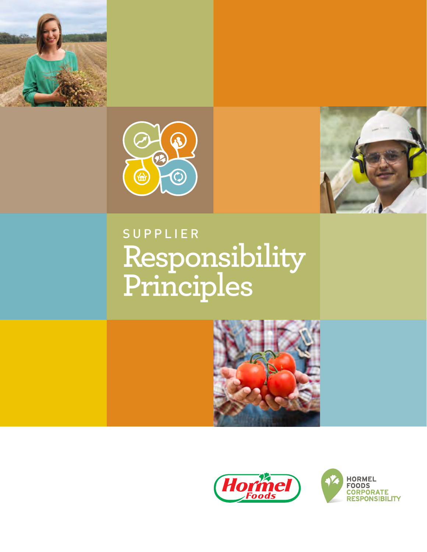





# **Responsibility Principles** SUPPLIER





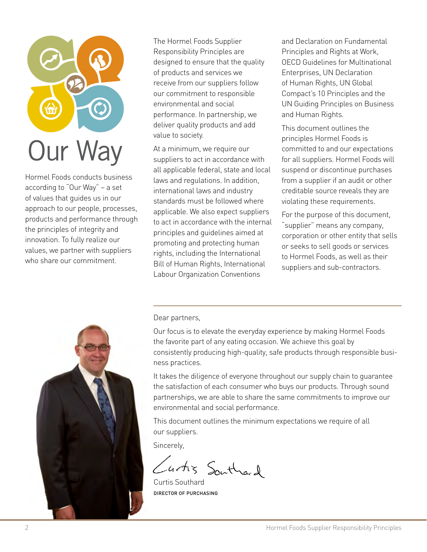

Hormel Foods conducts business according to "Our Way" – a set of values that guides us in our approach to our people, processes, products and performance through the principles of integrity and innovation. To fully realize our values, we partner with suppliers who share our commitment.

The Hormel Foods Supplier Responsibility Principles are designed to ensure that the quality of products and services we receive from our suppliers follow our commitment to responsible environmental and social performance. In partnership, we deliver quality products and add value to society.

At a minimum, we require our suppliers to act in accordance with all applicable federal, state and local laws and regulations. In addition, international laws and industry standards must be followed where applicable. We also expect suppliers to act in accordance with the internal principles and guidelines aimed at promoting and protecting human rights, including the International Bill of Human Rights, International Labour Organization Conventions

and Declaration on Fundamental Principles and Rights at Work, OECD Guidelines for Multinational Enterprises, UN Declaration of Human Rights, UN Global Compact's 10 Principles and the UN Guiding Principles on Business and Human Rights.

This document outlines the principles Hormel Foods is committed to and our expectations for all suppliers. Hormel Foods will suspend or discontinue purchases from a supplier if an audit or other creditable source reveals they are violating these requirements.

For the purpose of this document, "supplier" means any company, corporation or other entity that sells or seeks to sell goods or services to Hormel Foods, as well as their suppliers and sub-contractors.



Dear partners,

Our focus is to elevate the everyday experience by making Hormel Foods the favorite part of any eating occasion. We achieve this goal by consistently producing high-quality, safe products through responsible business practices.

It takes the diligence of everyone throughout our supply chain to guarantee the satisfaction of each consumer who buys our products. Through sound partnerships, we are able to share the same commitments to improve our environmental and social performance.

This document outlines the minimum expectations we require of all our suppliers.

Sincerely,

Cartis Southard

Curtis Southard DIRECTOR OF PURCHASING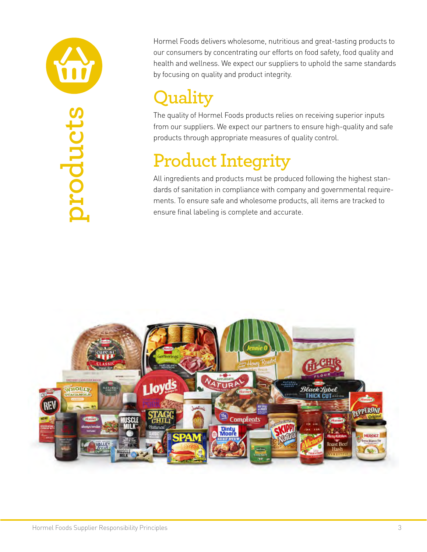

Hormel Foods delivers wholesome, nutritious and great-tasting products to our consumers by concentrating our efforts on food safety, food quality and health and wellness. We expect our suppliers to uphold the same standards by focusing on quality and product integrity.

# **Quality**

The quality of Hormel Foods products relies on receiving superior inputs from our suppliers. We expect our partners to ensure high-quality and safe products through appropriate measures of quality control.

#### **Product Integrity**

All ingredients and products must be produced following the highest standards of sanitation in compliance with company and governmental requirements. To ensure safe and wholesome products, all items are tracked to ensure final labeling is complete and accurate.

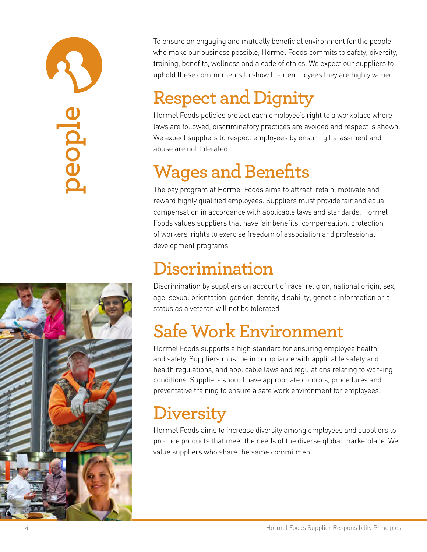# **people**



To ensure an engaging and mutually beneficial environment for the people who make our business possible, Hormel Foods commits to safety, diversity, training, benefits, wellness and a code of ethics. We expect our suppliers to uphold these commitments to show their employees they are highly valued.

## **Respect and Dignity**

Hormel Foods policies protect each employee's right to a workplace where laws are followed, discriminatory practices are avoided and respect is shown. We expect suppliers to respect employees by ensuring harassment and abuse are not tolerated.

# **Wages and Benefits**

The pay program at Hormel Foods aims to attract, retain, motivate and reward highly qualified employees. Suppliers must provide fair and equal compensation in accordance with applicable laws and standards. Hormel Foods values suppliers that have fair benefits, compensation, protection of workers' rights to exercise freedom of association and professional development programs.

#### **Discrimination**

Discrimination by suppliers on account of race, religion, national origin, sex, age, sexual orientation, gender identity, disability, genetic information or a status as a veteran will not be tolerated.

# **Safe Work Environment**

Hormel Foods supports a high standard for ensuring employee health and safety. Suppliers must be in compliance with applicable safety and health regulations, and applicable laws and regulations relating to working conditions. Suppliers should have appropriate controls, procedures and preventative training to ensure a safe work environment for employees.

### **Diversity**

Hormel Foods aims to increase diversity among employees and suppliers to produce products that meet the needs of the diverse global marketplace. We value suppliers who share the same commitment.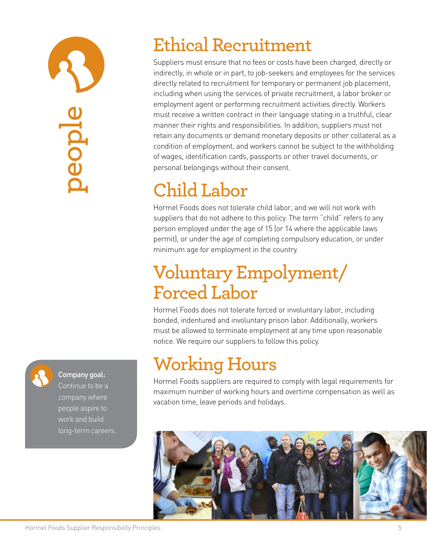

#### Company goal:

Continue to be a company where people aspire to work and build long-term careers.

#### **Ethical Recruitment**

Suppliers must ensure that no fees or costs have been charged, directly or indirectly, in whole or in part, to job-seekers and employees for the services directly related to recruitment for temporary or permanent job placement, including when using the services of private recruitment, a labor broker or employment agent or performing recruitment activities directly. Workers must receive a written contract in their language stating in a truthful, clear manner their rights and responsibilities. In addition, suppliers must not retain any documents or demand monetary deposits or other collateral as a condition of employment, and workers cannot be subject to the withholding of wages, identification cards, passports or other travel documents, or personal belongings without their consent.

# **Child Labor**

Hormel Foods does not tolerate child labor, and we will not work with suppliers that do not adhere to this policy. The term "child" refers to any person employed under the age of 15 (or 14 where the applicable laws permit), or under the age of completing compulsory education, or under minimum age for employment in the country.

#### **Voluntary Empolyment/ Forced Labor**

Hormel Foods does not tolerate forced or involuntary labor, including bonded, indentured and involuntary prison labor. Additionally, workers must be allowed to terminate employment at any time upon reasonable notice. We require our suppliers to follow this policy.

### **Working Hours**

Hormel Foods suppliers are required to comply with legal requirements for maximum number of working hours and overtime compensation as well as vacation time, leave periods and holidays.

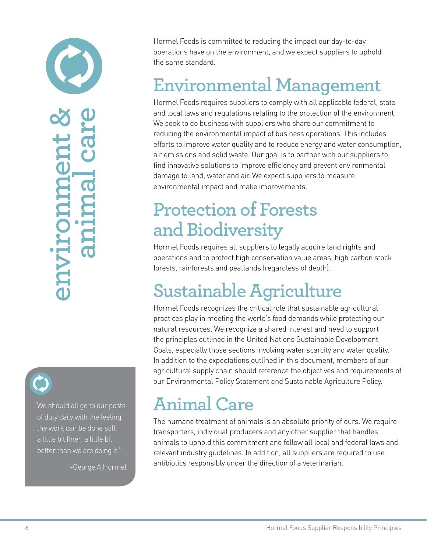**environment & animal care** ueuuruc DALAU



"We should all go to our posts of duty daily with the feeling the work can be done still a little bit finer, a little bit better than we are doing it."

-George A.Hormel

Hormel Foods is committed to reducing the impact our day-to-day operations have on the environment, and we expect suppliers to uphold the same standard.

#### **Environmental Management**

Hormel Foods requires suppliers to comply with all applicable federal, state and local laws and regulations relating to the protection of the environment. We seek to do business with suppliers who share our commitment to reducing the environmental impact of business operations. This includes efforts to improve water quality and to reduce energy and water consumption, air emissions and solid waste. Our goal is to partner with our suppliers to find innovative solutions to improve efficiency and prevent environmental damage to land, water and air. We expect suppliers to measure environmental impact and make improvements.

#### **Protection of Forests and Biodiversity**

Hormel Foods requires all suppliers to legally acquire land rights and operations and to protect high conservation value areas, high carbon stock forests, rainforests and peatlands (regardless of depth).

### **Sustainable Agriculture**

Hormel Foods recognizes the critical role that sustainable agricultural practices play in meeting the world's food demands while protecting our natural resources. We recognize a shared interest and need to support the principles outlined in the United Nations Sustainable Development Goals, especially those sections involving water scarcity and water quality. In addition to the expectations outlined in this document, members of our agricultural supply chain should reference the objectives and requirements of our Environmental Policy Statement and Sustainable Agriculture Policy.

#### **Animal Care**

The humane treatment of animals is an absolute priority of ours. We require transporters, individual producers and any other supplier that handles animals to uphold this commitment and follow all local and federal laws and relevant industry guidelines. In addition, all suppliers are required to use antibiotics responsibly under the direction of a veterinarian.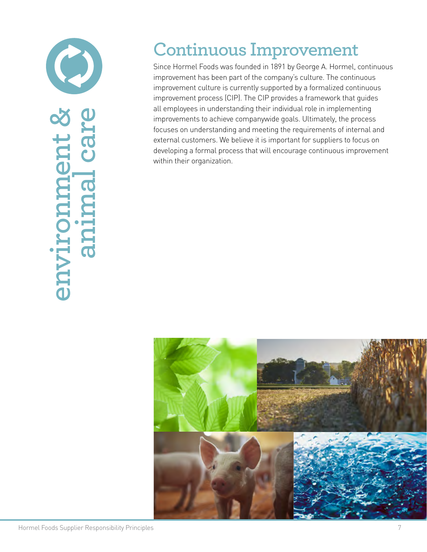

#### **Continuous Improvement**

Since Hormel Foods was founded in 1891 by George A. Hormel, continuous improvement has been part of the company's culture. The continuous improvement culture is currently supported by a formalized continuous improvement process (CIP). The CIP provides a framework that guides all employees in understanding their individual role in implementing improvements to achieve companywide goals. Ultimately, the process focuses on understanding and meeting the requirements of internal and external customers. We believe it is important for suppliers to focus on developing a formal process that will encourage continuous improvement within their organization.

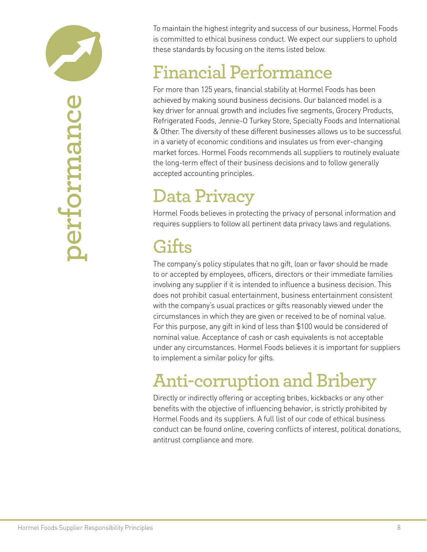

oerformance **performance** To maintain the highest integrity and success of our business, Hormel Foods is committed to ethical business conduct. We expect our suppliers to uphold these standards by focusing on the items listed below.

#### **Financial Performance**

For more than 125 years, financial stability at Hormel Foods has been achieved by making sound business decisions. Our balanced model is a key driver for annual growth and includes five segments, Grocery Products, Refrigerated Foods, Jennie-O Turkey Store, Specialty Foods and International & Other. The diversity of these different businesses allows us to be successful in a variety of economic conditions and insulates us from ever-changing market forces. Hormel Foods recommends all suppliers to routinely evaluate the long-term effect of their business decisions and to follow generally accepted accounting principles.

#### **Data Privacy**

Hormel Foods believes in protecting the privacy of personal information and requires suppliers to follow all pertinent data privacy laws and regulations.

#### **Gifts**

The company's policy stipulates that no gift, loan or favor should be made to or accepted by employees, officers, directors or their immediate families involving any supplier if it is intended to influence a business decision. This does not prohibit casual entertainment, business entertainment consistent with the company's usual practices or gifts reasonably viewed under the circumstances in which they are given or received to be of nominal value. For this purpose, any gift in kind of less than \$100 would be considered of nominal value. Acceptance of cash or cash equivalents is not acceptable under any circumstances. Hormel Foods believes it is important for suppliers to implement a similar policy for gifts.

# **Anti-corruption and Bribery**

Directly or indirectly offering or accepting bribes, kickbacks or any other benefits with the objective of influencing behavior, is strictly prohibited by Hormel Foods and its suppliers. A full list of our code of ethical business conduct can be found online, covering conflicts of interest, political donations, antitrust compliance and more.